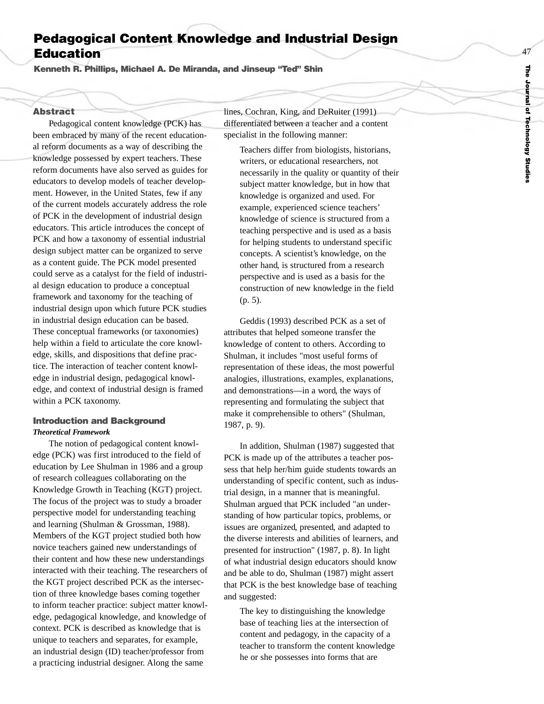# **Pedagogical Content Knowledge and Industrial Design Education**

**Kenneth R. Phillips, Michael A. De Miranda, and Jinseup "Ted" Shin**

## **Abstract**

Pedagogical content knowledge (PCK) has been embraced by many of the recent educational reform documents as a way of describing the knowledge possessed by expert teachers. These reform documents have also served as guides for educators to develop models of teacher development. However, in the United States, few if any of the current models accurately address the role of PCK in the development of industrial design educators. This article introduces the concept of PCK and how a taxonomy of essential industrial design subject matter can be organized to serve as a content guide. The PCK model presented could serve as a catalyst for the field of industrial design education to produce a conceptual framework and taxonomy for the teaching of industrial design upon which future PCK studies in industrial design education can be based. These conceptual frameworks (or taxonomies) help within a field to articulate the core knowledge, skills, and dispositions that define practice. The interaction of teacher content knowledge in industrial design, pedagogical knowledge, and context of industrial design is framed within a PCK taxonomy.

### **Introduction and Background** *Theoretical Framework*

The notion of pedagogical content knowledge (PCK) was first introduced to the field of education by Lee Shulman in 1986 and a group of research colleagues collaborating on the Knowledge Growth in Teaching (KGT) project. The focus of the project was to study a broader perspective model for understanding teaching and learning (Shulman & Grossman, 1988). Members of the KGT project studied both how novice teachers gained new understandings of their content and how these new understandings interacted with their teaching. The researchers of the KGT project described PCK as the intersection of three knowledge bases coming together to inform teacher practice: subject matter knowledge, pedagogical knowledge, and knowledge of context. PCK is described as knowledge that is unique to teachers and separates, for example, an industrial design (ID) teacher/professor from a practicing industrial designer. Along the same

lines, Cochran, King, and DeRuiter (1991) differentiated between a teacher and a content specialist in the following manner:

Teachers differ from biologists, historians, writers, or educational researchers, not necessarily in the quality or quantity of their subject matter knowledge, but in how that knowledge is organized and used. For example, experienced science teachers' knowledge of science is structured from a teaching perspective and is used as a basis for helping students to understand specific concepts. A scientist's knowledge, on the other hand, is structured from a research perspectiv e and is used as a basis for the construction of new knowledge in the field (p. 5).

Geddis (1993) described PCK as a set of attributes that helped someone transfer the knowledge of content to others. According to Shulman, it includes "most useful forms of representation of these ideas, the most powerful analogies, illustrations, examples, explanations, and demonstrations—in a word, the ways of representing and formulating the subject that mak e it comprehensible to others" (Shulman, 1987, p. 9).

In addition, Shulman (1987) suggested that PCK is made up of the attributes a teacher possess that help her/him guide students towards an understanding of specific content, such as industrial design, in a manner that is meaningful. Shulman argued that PCK included "an understanding of how particular topics, problems, or issues are organized, presented, and adapted to the diverse interests and abilities of learners, and presented for instruction" (1987, p. 8). In light of what industrial design educators should know and be able to do, Shulman (1987) might assert that PCK is the best knowledge base of teaching and suggested:

The key to distinguishing the knowledge base of teaching lies at the intersection of content and pedagogy, in the capacity of a teacher to transform the content knowledge he or she possesses into forms that are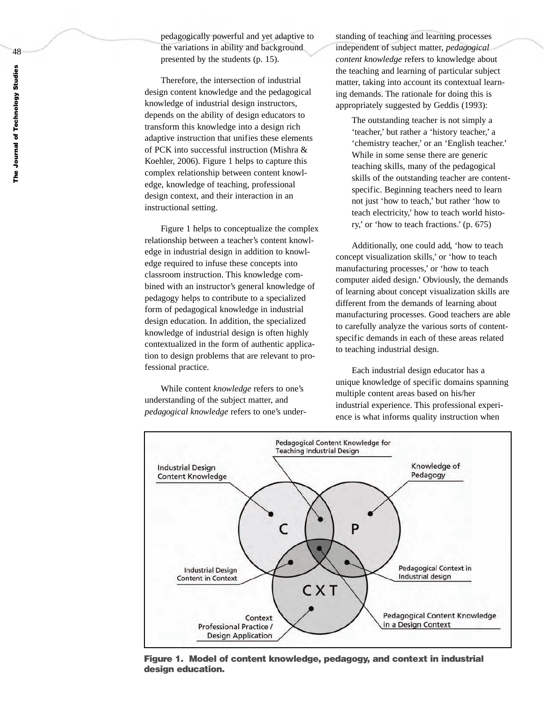pedagogically powerful and yet adaptive to the variations in ability and background presented by the students (p. 15).

Therefore, the intersection of industrial design content knowledge and the pedagogical knowledge of industrial design instructors, depends on the ability of design educators to transform this knowledge into a design rich adaptive instruction that unifies these elements of PCK into successful instruction (Mishra & Koehler, 2006). Figure 1 helps to capture this complex relationship between content knowledge, knowledge of teaching, professional design context, and their interaction in an instructional setting.

Figure 1 helps to conceptualize the complex relationship between a teacher's content knowledge in industrial design in addition to knowledge required to infuse these concepts into classroom instruction. This knowledge combined with an instructor's general knowledge of pedagogy helps to contribute to a specialized form of pedagogical knowledge in industrial design education. In addition, the specialized knowledge of industrial design is often highly contextualized in the form of authentic application to design problems that are relevant to professional practice.

While content *knowledge* refers to one's understanding of the subject matter, and *pedagogical knowledge* refers to one's understanding of teaching and learning processes independent of subject matter, *pedagogical content knowledge* refers to knowledge about the teaching and learning of particular subject matter, taking into account its contextual learning demands. The rationale for doing this is appropriately suggested by Geddis (1993):

The outstanding teacher is not simply a 'teacher,' but rather a 'history teacher,' a 'chemistry teacher,' or an 'English teacher.' While in some sense there are generic teaching skills, many of the pedagogical skills of the outstanding teacher are contentspecific. Beginning teachers need to learn not just 'how to teach,' but rather 'how to teach electricity,' how to teach world history,' or 'how to teach fractions.' (p. 675)

Additionally, one could add, 'how to teach concept visualization skills,' or 'how to teach manufacturing processes,' or 'how to teach computer aided design.' Obviously, the demands of learning about concept visualization skills are different from the demands of learning about manufacturing processes. Good teachers are able to carefully analyze the various sorts of contentspecific demands in each of these areas related to teaching industrial design.

Each industrial design educator has a unique knowledge of specific domains spanning multiple content areas based on his/her industrial experience. This professional experience is what informs quality instruction when



**Figure 1. Model of content knowledge, pedagogy, and context in industrial design education.**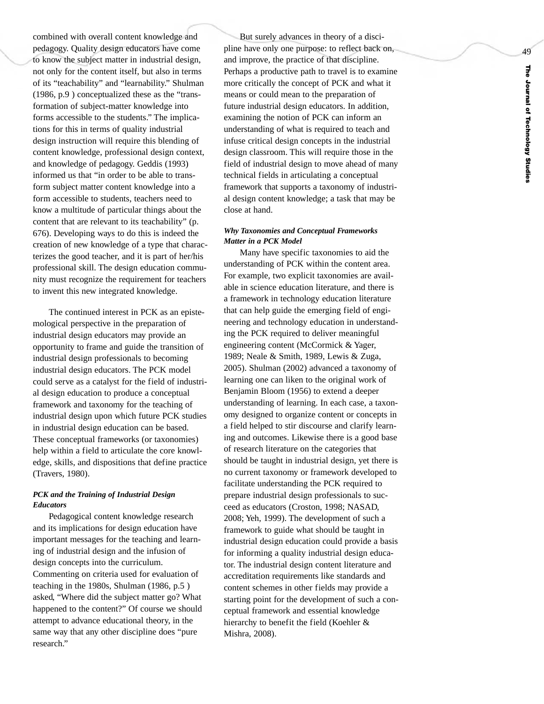combined with overall content knowledge and pedagogy. Quality design educators have come to know the subject matter in industrial design, not only for the content itself, but also in terms of its "teachability" and "learnability." Shulman (1986, p.9 ) conceptualized these as the "transformation of subject-matter knowledge into forms accessible to the students." The implications for this in terms of quality industrial design instruction will require this blending of content knowledge, professional design context, and knowledge of pedagogy. Geddis (1993) informed us that "in order to be able to transform subject matter content knowledge into a form accessible to students, teachers need to know a multitude of particular things about the content that are relevant to its teachability" (p. 676). Developing ways to do this is indeed the creation of new knowledge of a type that characterizes the good teacher, and it is part of her/his professional skill. The design education community must recognize the requirement for teachers to invent this new integrated knowledge.

The continued interest in PCK as an epistemological perspective in the preparation of industrial design educators may provide an opportunity to frame and guide the transition of industrial design professionals to becoming industrial design educators. The PCK model could serve as a catalyst for the field of industrial design education to produce a conceptual framework and taxonomy for the teaching of industrial design upon which future PCK studies in industrial design education can be based. These conceptual frameworks (or taxonomies) help within a field to articulate the core knowledge, skills, and dispositions that define practice (Travers, 1980).

#### *PCK and the Training of Industrial Design Educators*

Pedagogical content knowledge research and its implications for design education have important messages for the teaching and learning of industrial design and the infusion of design concepts into the curriculum. Commenting on criteria used for evaluation of teaching in the 1980s, Shulman (1986, p.5 ) asked , "Where did the subject matter go? What happened to the content?" Of course w e should attempt to advance educational theory, in the same way that an y other discipline does "pure research."

But surely advances in theory of a discipline have only one purpose: to reflect back on, and improve, the practice of that discipline. Perhaps a productive path to travel is to examine more critically the concept of PCK and what it means or could mean to the preparation of future industrial design educators. In addition, examining the notion of PCK can inform an understanding of what is required to teach and infuse critical design concepts in the industrial design classroom. This will require those in the field of industrial design to move ahead of many technical fields in articulating a conceptual framework that supports a taxonomy of industrial design content knowledge; a task that may be close at hand.

#### *Why Taxonomies and Conceptual Frameworks Matter in a PCK Model*

Many have specific taxonomies to aid the understanding of PCK within the content area. For example, two explicit taxonomies are available in science education literature, and there is a framework in technology education literature that can help guide the emerging field of engineering and technology education in understanding the PCK required to deliver meaningful engineering content (McCormick & Yager, 1989; Neale & Smith, 1989, Lewis & Zuga, 2005). Shulman (2002) advanced a taxonomy of learning one can liken to the original work of Benjamin Bloom (1956) to extend a deeper understanding of learning. In each case, a taxonomy designed to organize content or concepts in a field helped to stir discourse and clarify learning and outcomes. Likewise there is a good base of research literature on the categories that should be taught in industrial design, yet there is no current taxonomy or framework developed to facilitate understanding the PCK required to prepare industrial design professionals to succeed as educators (Croston, 1998; NASAD, 2008; Yeh, 1999). The development of such a framework to guide what should be taught in industrial design education could provide a basis for informing a quality industrial design educator. The industrial design content literature and accreditation requirements like standards and content schemes in other fields may provide a starting point for the development of such a conceptual framework and essential knowledge hierarchy to benefit the field (Koehler & Mishra, 2008).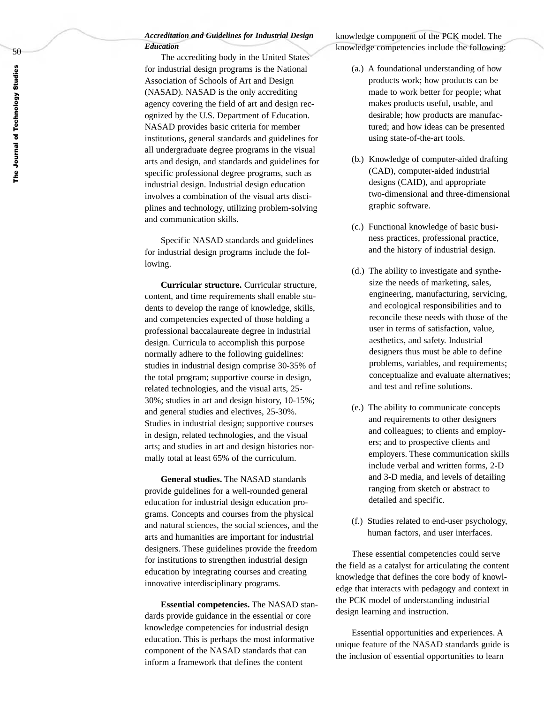### *Accreditation and Guidelines for Industrial Design Education*

The accrediting body in the United States for industrial design programs is the National Association of Schools of Art and Design (NASAD). NASAD is the only accrediting agency covering the field of art and design recognized by the U.S. Department of Education. NASAD provides basic criteria for member institutions, general standards and guidelines for all undergraduate degree programs in the visual arts and design, and standards and guidelines for specific professional degree programs, such as industrial design. Industrial design education involves a combination of the visual arts disciplines and technology, utilizing problem-solving and communication skills.

Specific NASAD standards and guidelines for industrial design programs include the following.

**Curricular structure.** Curricular structure, content, and time requirements shall enable students to develop the range of knowledge, skills, and competencies expected of those holding a professional baccalaureate degree in industrial design. Curricula to accomplish this purpose normally adhere to the following guidelines: studies in industrial design comprise 30-35% of the total program; supportive course in design, related technologies, and the visual arts, 25- 30%; studies in ar t and design history, 10-15%; and general studies and electives, 25-30%. Studies in industrial design; supportive courses in design, related technologies, and the visual arts; and studies in ar t and design histories normally total at least 65% of the curriculum.

**General studies.** The NASAD standards provide guidelines for a well-rounded general education for industrial design education programs. Concepts and courses from the physical and natural sciences, the social sciences, and the arts and humanities are important for industrial designers. These guidelines provide the freedom for institutions to strengthen industrial design education by integrating courses and creating innovative interdisciplinary programs.

**Essential competencies.** The NASAD standards provide guidance in the essential or core knowledge competencies for industrial design education. This is perhaps the most informative component of the NASAD standards that can inform a framework that defines the content

knowledge component of the PCK model. The knowledge competencies include the following:

- (a.) A foundational understanding of how products work; how products can be made to work better for people; what makes products useful, usable, and desirable; how products are manufactured; and how ideas can be presented using state-of-the-art tools.
- (b.) Knowledge of computer-aided drafting (CAD), computer-aided industrial designs (CAID), and appropriate two-dimensional and three-dimensional graphic software.
- (c.) Functional knowledge of basic business practices, professional practice, and the history of industrial design.
- (d.) The ability to investigate and synthesize the needs of marketing, sales, engineering, manufacturing, servicing, and ecological responsibilities and to reconcile these needs with those of the user in terms of satisfaction, value, aesthetics, and safety. Industrial designers thus must be able to define problems, variables, and requirements; conceptualize and evaluate alternatives; and test and refine solutions.
- (e.) The ability to communicate concepts and requirements to other designers and colleagues; to clients and employers; and to prospective clients and employers. These communication skills include verbal and written forms, 2-D and 3-D media, and levels of detailing ranging from sketch or abstract to detailed and specific.
- (f.) Studies related to end-user psychology, human factors, and user interfaces.

These essential competencies could serve the field as a catalyst for articulating the content knowledge that defines the core body of knowledge that interacts with pedagogy and context in the PCK model of understanding industrial design learning and instruction.

Essential opportunities and experiences. A unique feature of the NASAD standards guide is the inclusion of essential opportunities to learn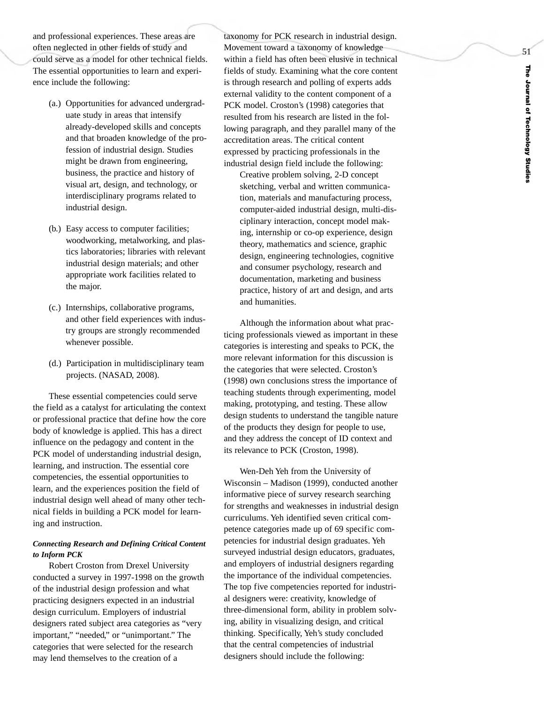and professional experiences. These areas are often neglected in other fields of study and could serve as a model for other technical fields. The essential opportunities to learn and experience include the following:

- (a.) Opportunities for advanced undergraduate study in areas that intensify already-developed skills and concepts and that broaden knowledge of the profession of industrial design. Studies might be drawn from engineering, business, the practice and history of visual art, design, and technology, or interdisciplinary programs related to industrial design.
- (b.) Easy access to computer facilities; woodworking, metalworking, and plastics laboratories; libraries with relevant industrial design materials; and other appropriate work facilities related to the major.
- (c.) Internships, collaborative programs, and other field experiences with industry groups are strongly recommended whenever possible.
- (d.) Participation in multidisciplinary team projects. (NASAD, 2008).

These essential competencies could serve the field as a catalyst for articulating the context or professional practice that define how the core body of knowledge is applied. This has a direct influence on the pedagogy and content in the PCK model of understanding industrial design, learning, and instruction. The essential core competencies, the essential opportunities to learn, and the experiences position the field of industrial design well ahead of many other technical fields in building a PCK model for learning and instruction.

### *Connecting Researc h and Defining Critical Content to Inform PCK*

Robert Croston from Drexel University conducted a survey in 1997-1998 on the growth of the industrial design profession and what practicing designers expected in an industrial design curriculum. Employers of industrial designers rated subject area categories as "very important," "needed," or "unimportant." The categories that were selected for the research may lend themselves to the creation of a

taxonomy for PCK research in industrial design. Movement toward a taxonomy of knowledge within a field has often been elusive in technical fields of study. Examining what the core content is through research and polling of experts adds external validity to the content component of a PCK model. Croston's (1998) categories that resulted from his research are listed in the following paragraph, and they parallel many of the accreditation areas. The critical content expressed by practicing professionals in the industrial design field include the following:

Creative problem solving, 2-D concept sketching, verbal and written communication, materials and manufacturing process, computer-aided industrial design, multi-disciplinary interaction, concept model making, internship or co-op experience, design theory, mathematics and science, graphic design, engineering technologies, cognitive and consumer psychology, research and documentation, marketing and business practice, histor y of ar t and design, and arts and humanities.

Although the information about what practicing professionals viewed as important in these categories is interesting and speaks to PCK, the more relevant information for this discussion is the categories that were selected. Croston's (1998) own conclusions stress the importance of teaching students through experimenting, model making, prototyping, and testing. These allow design students to understand the tangible nature of the products the y design for people to use, and the y address the concept of ID context and its relevance to PCK (Croston, 1998).

Wen-Deh Yeh from the University of Wisconsin – Madison (1999), conducted another informative piece of survey research searching for strengths and weaknesses in industrial design curriculums. Yeh identified seven critical competence categories made up of 69 specific competencies for industrial design graduates. Yeh surveyed industrial design educators, graduates, and employers of industrial designers regarding the importance of the individual competencies. The top five competencies reported for industrial designers were: creativity, knowledge of three-dimensional form, ability in problem solving, ability in visualizing design, and critical thinking. Specifically, Yeh's study concluded that the central competencies of industrial designers should include the following: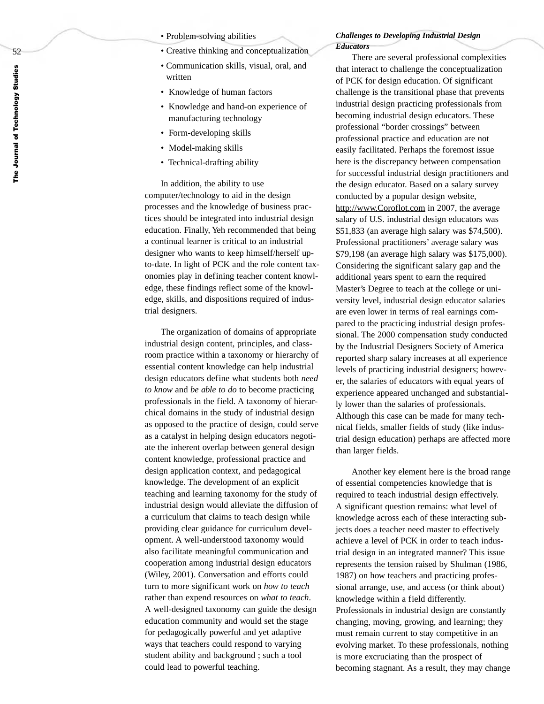- Problem-solving abilities
- Creative thinking and conceptualization
- Communication skills, visual, oral, and written
- Knowledge of human factors
- Knowledge and hand-on experience of manufacturing technology
- Form-developing skills
- Model-making skills
- Technical-drafting ability

In addition, the ability to use computer/technology to aid in the design processes and the knowledge of business practices should be integrated into industrial design education. Finally, Yeh recommended that being a continual learner is critical to an industrial designer who wants to keep himself/herself upto-date. In light of PCK and the role content taxonomies play in defining teacher content knowledge, these findings reflect some of the knowledge, skills, and dispositions required of industrial designers.

The organization of domains of appropriate industrial design content, principles, and classroom practice within a taxonomy or hierarchy of essential content knowledge can help industrial design educators define what students both *need to kno w* and *be able to do* to become practicing professionals in the field. A taxonomy of hierarchical domains in the study of industrial design as opposed to the practice of design, could serve as a catalyst in helping design educators negotiate the inherent overlap between general design content knowledge, professional practice and design application context, and pedagogical knowledge. The development of an explicit teaching and learning taxonomy for the study of industrial design would alleviate the diffusion of a curriculum that claims to teach design while providing clear guidance for curriculum development. A well-understood taxonomy would also facilitate meaningful communication and cooperation among industrial design educators (Wiley, 2001). Conversation and efforts could turn to more significant work on *how to teach* rather than expend resources on *what to teach* . A well-designed taxonomy can guide the design education community and would set the stage for pedagogically powerful and yet adaptive ways that teachers could respond to varying student ability and background ; such a tool could lead to powerful teaching.

#### *Challenges to Developing Industrial Design Educators*

There are several professional complexities that interact to challenge the conceptualization of PCK for design education. Of significant challenge is the transitional phase that prevents industrial design practicing professionals from becoming industrial design educators. These professional "border crossings" between professional practice and education are not easily facilitated. Perhaps the foremost issue here is the discrepancy between compensation for successful industrial design practitioners and the design educator. Based on a salary survey conducted by a popular design website, http://www.Coroflot.com in 2007, the average salary of U.S. industrial design educators was \$51,833 (an average high salary was \$74,500). Professional practitioners' average salary was \$79,198 (an average high salary was \$175,000). Considering the significant salary gap and the additional years spent to ear n the required Master's Degree to teach at the college or university level, industrial design educator salaries are even lower in terms of real earnings compared to the practicing industrial design professional. The 2000 compensation study conducted by the Industrial Designers Society of America reported sharp salary increases at all experience levels of practicing industrial designers; however, the salaries of educators with equal years of experience appeared unchanged and substantially lower than the salaries of professionals. Although this case can be made for man y technical fields, smaller fields of study (like industrial design education) perhaps are affected more than larger fields.

Another key element here is the broad range of essential competencies knowledge that is required to teach industrial design effectively. A significant question remains: what level of knowledge across each of these interacting subjects does a teacher need master to effectively achieve a level of PCK in order to teach industrial design in an integrated manner? This issue represents the tension raised b y Shulman (1986, 1987) on how teachers and practicing professional arrange, use, and access (or think about) knowledge within a field differently. Professionals in industrial design are constantly changing, moving, growing, and learning; they must remain current to stay competitive in an evolving market. To these professionals, nothing is more excruciating than the prospect of becoming stagnant. As a result, they may change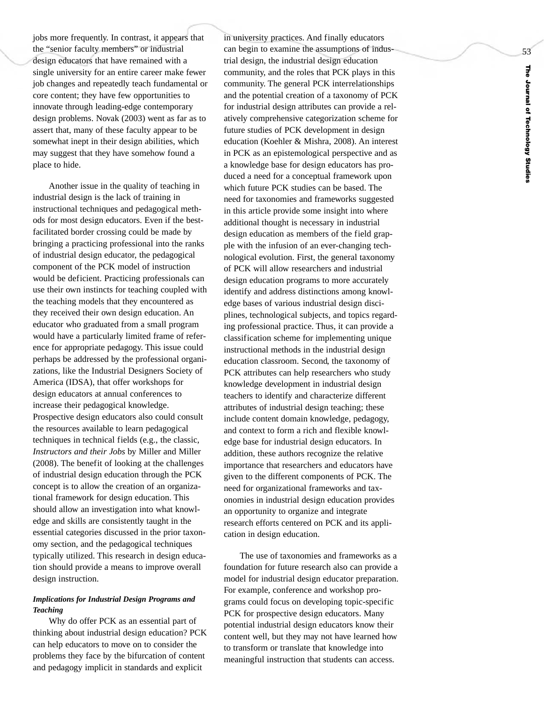jobs more frequently. In contrast, it appears that the "senior faculty members" or industrial design educators that have remained with a single university for an entire career make fewer job changes and repeatedly teach fundamental or core content; they have few opportunities to innovate through leading-edge contemporary design problems. Novak (2003) went as far as to assert that, many of these faculty appear to be somewhat inept in their design abilities, which may suggest that they have somehow found a place to hide.

Another issue in the quality of teaching in industrial design is the lack of training in instructional techniques and pedagogical methods for most design educators. Even if the bestfacilitated border crossing could be made by bringing a practicing professional into the ranks of industrial design educator, the pedagogical component of the PCK model of instruction would be deficient. Practicing professionals can use their own instincts for teaching coupled with the teaching models that the y encountered as they received their own design education. An educator who graduated from a small program would have a particularly limited frame of reference for appropriate pedagogy. This issue could perhaps be addressed by the professional organizations, like the Industrial Designers Society of America (IDSA), that offer workshops for design educators at annual conferences to increase their pedagogical knowledge. Prospective design educators also could consult the resources available to learn pedagogical techniques in technical fields (e.g., the classic, *Instructors and their Jobs* by Miller and Miller (2008). The benefit of looking at the challenges of industrial design education through the PCK concept is to allo w the creation of an organizational framework for design education. This should allow an investigation into what knowledge and skills are consistently taught in the essential categories discussed in the prior taxonomy section, and the pedagogical techniques typically utilized. This research in design education should provide a means to improve overall design instruction.

### *Implications for Industrial Design Programs and Teaching*

Why do offer PCK as an essential part of thinking about industrial design education? PCK can help educators to move on to consider the problems they face by the bifurcation of content and pedagogy implicit in standards and explicit

in university practices. And finally educators can begin to examine the assumptions of industrial design, the industrial design education community, and the roles that PCK plays in this community. The general PCK interrelationships and the potential creation of a taxonomy of PCK for industrial design attributes can provide a relatively comprehensive categorization scheme for future studies of PCK development in design education (Koehler & Mishra, 2008). An interest in PCK as an epistemological perspective and as a knowledge base for design educators has produced a need for a conceptual framework upon which future PCK studies can be based. The need for taxonomies and frameworks suggested in this article provide some insight into where additional thought is necessary in industrial design education as members of the field grapple with the infusion of an ever-changing technological evolution. First, the general taxonomy of PCK will allow researchers and industrial design education programs to more accurately identify and address distinctions among knowledge bases of various industrial design disciplines, technological subjects, and topics regarding professional practice. Thus, it can provide a classification scheme for implementing unique instructional methods in the industrial design education classroom. Second, the taxonomy of PCK attributes can help researchers who study knowledge development in industrial design teachers to identify and characterize different attributes of industrial design teaching; these include content domain knowledge, pedagogy, and context to form a rich and flexible knowledge base for industrial design educators. In addition, these authors recognize the relative importance that researchers and educators have given to the different components of PCK. The need for organizational frameworks and taxonomies in industrial design education provides an opportunity to organize and integrate research efforts centered on PCK and its application in design education.

The use of taxonomies and frameworks as a foundation for future research also can provide a model for industrial design educator preparation. For example, conference and workshop programs could focus on developing topic-specific PCK for prospective design educators. Many potential industrial design educators kno w their content well, but they may not have learned how to transfor m or translate that knowledge into meaningful instruction that students can access.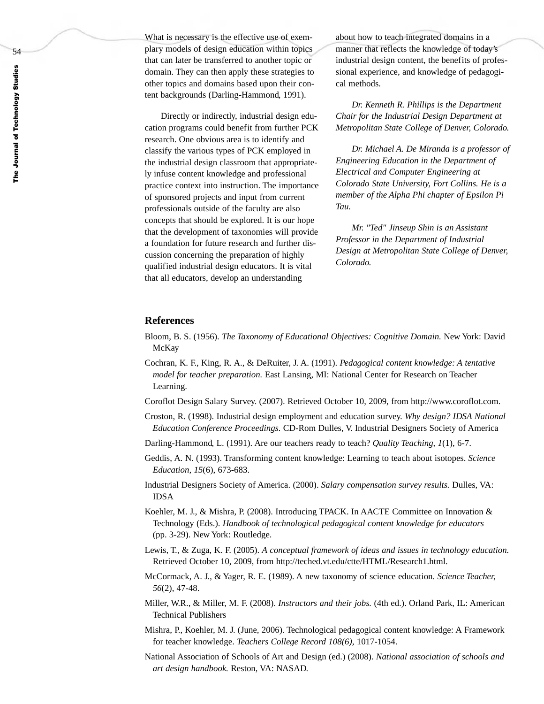What is necessary is the effective use of exemplary models of design education within topics that can later be transferred to another topic or domain. They can then apply these strategies to other topics and domains based upon their content backgrounds (Darling-Hammond, 1991).

Directly or indirectly, industrial design education programs could benefit from further PCK research. One obvious area is to identify and classify the various types of PCK employed in the industrial design classroom that appropriately infuse content knowledge and professional practice context into instruction. The importance of sponsored projects and input from current professionals outside of the faculty are also concepts that should be explored. It is our hope that the development of taxonomies will provide a foundation for future research and further discussion concerning the preparation of highly qualified industrial design educators. It is vital that all educators, develop an understanding

about how to teach integrated domains in a manner that reflects the knowledge of today's industrial design content, the benefits of professional experience, and knowledge of pedagogical methods.

*Dr. Kenneth R. Phillips is the Department Chair for the Industrial Design Department at Metropolitan State College of Denver, Colorado.* 

*Dr. Michael A. De Miranda is a professor of Engineering Education in the Department of Electrical and Computer Engineering at Colorado State University, Fort Collins. He is a member of the Alpha Phi chapter of Epsilon Pi Tau.*

*Mr. "Ted" Jinseup Shin is an Assistant Professor in the Department of Industrial Design at Metropolitan State College of Denver, Colorado.*

#### **References**

- Bloom, B. S. (1956). *The Taxonomy of Educational Objectives: Cognitive Domain.* New York: David McKay
- Cochran, K. F., King, R. A., & DeRuiter, J. A. (1991). *Pedagogical content knowledge: A tentative model for teacher preparation.* East Lansing, MI: National Center for Research on Teacher Learning.

Coroflot Design Salary Survey. (2007). Retrieved October 10, 2009, from http://www.coroflot.com.

- Croston, R. (1998). Industrial design employment and education survey. *Why design? IDSA National Education Conference Proceedings.* CD-Rom Dulles, V. Industrial Designers Society of America
- Darling-Hammond, L. (1991). Are our teachers ready to teach? *Quality Teaching, 1*(1), 6-7.
- Geddis, A. N. (1993). Transforming content knowledge: Learning to teach about isotopes. *Science Education, 15*(6), 673-683.
- Industrial Designers Society of America. (2000). *Salary compensation survey results.* Dulles, VA: IDSA
- Koehler, M. J., & Mishra, P. (2008). Introducing TPACK. In AACTE Committee on Innovation & Technology (Eds.). *Handbook of technological pedagogical content knowledge for educators* (pp. 3-29). New York: Routledge.
- Lewis, T., & Zuga, K. F. (2005). *A conceptual framework of ideas and issues in technology education.* Retrieved October 10, 2009, from http://teched.vt.edu/ctte/HTML/Research1.html.
- McCormack, A. J., & Yager, R. E. (1989). A new taxonomy of science education. *Science Teacher, 56*(2), 47-48.
- Miller, W.R., & Miller, M. F. (2008). *Instructors and their jobs.* (4th ed.). Orland Park, IL: American Technical Publishers
- Mishra, P., Koehler, M. J. (June, 2006). Technological pedagogical content knowledge: A Framework for teacher knowledge. *Teachers College Record 108(6)*, 1017-1054.
- National Association of Schools of Art and Design (ed.) (2008). *National association of schools and art design handbook.* Reston, VA: NASAD.